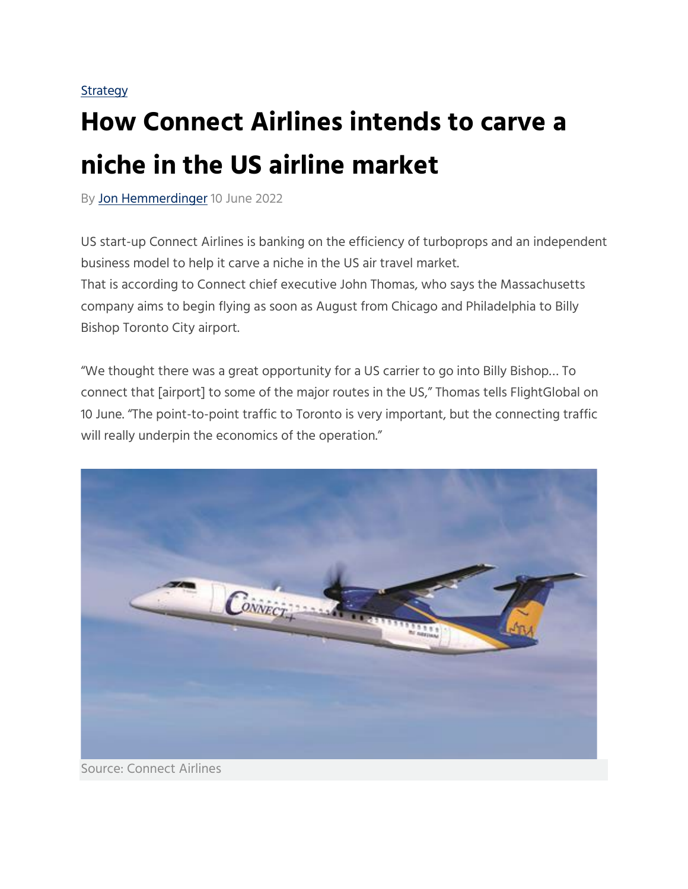## **[Strategy](https://www.flightglobal.com/airlines/strategy)**

## **How Connect Airlines intends to carve a niche in the US airline market**

By [Jon Hemmerdinger](https://www.flightglobal.com/jon-hemmerdinger/301.bio) 10 June 2022

US start-up Connect Airlines is banking on the efficiency of turboprops and an independent business model to help it carve a niche in the US air travel market. That is according to Connect chief executive John Thomas, who says the Massachusetts company aims to begin flying as soon as August from Chicago and Philadelphia to Billy Bishop Toronto City airport.

"We thought there was a great opportunity for a US carrier to go into Billy Bishop… To connect that [airport] to some of the major routes in the US," Thomas tells FlightGlobal on 10 June. "The point-to-point traffic to Toronto is very important, but the connecting traffic will really underpin the economics of the operation."

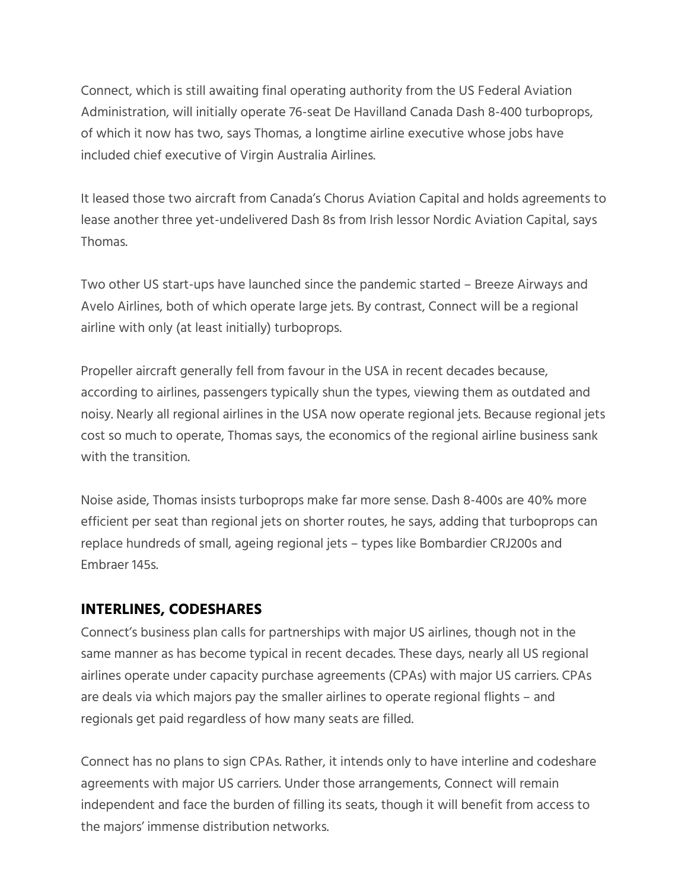Connect, which is still awaiting final operating authority from the US Federal Aviation Administration, will initially operate 76-seat De Havilland Canada Dash 8-400 turboprops, of which it now has two, says Thomas, a longtime airline executive whose jobs have included chief executive of Virgin Australia Airlines.

It leased those two aircraft from Canada's Chorus Aviation Capital and holds agreements to lease another three yet-undelivered Dash 8s from Irish lessor Nordic Aviation Capital, says Thomas.

Two other US start-ups have launched since the pandemic started – Breeze Airways and Avelo Airlines, both of which operate large jets. By contrast, Connect will be a regional airline with only (at least initially) turboprops.

Propeller aircraft generally fell from favour in the USA in recent decades because, according to airlines, passengers typically shun the types, viewing them as outdated and noisy. Nearly all regional airlines in the USA now operate regional jets. Because regional jets cost so much to operate, Thomas says, the economics of the regional airline business sank with the transition.

Noise aside, Thomas insists turboprops make far more sense. Dash 8-400s are 40% more efficient per seat than regional jets on shorter routes, he says, adding that turboprops can replace hundreds of small, ageing regional jets – types like Bombardier CRJ200s and Embraer 145s.

## **INTERLINES, CODESHARES**

Connect's business plan calls for partnerships with major US airlines, though not in the same manner as has become typical in recent decades. These days, nearly all US regional airlines operate under capacity purchase agreements (CPAs) with major US carriers. CPAs are deals via which majors pay the smaller airlines to operate regional flights – and regionals get paid regardless of how many seats are filled.

Connect has no plans to sign CPAs. Rather, it intends only to have interline and codeshare agreements with major US carriers. Under those arrangements, Connect will remain independent and face the burden of filling its seats, though it will benefit from access to the majors' immense distribution networks.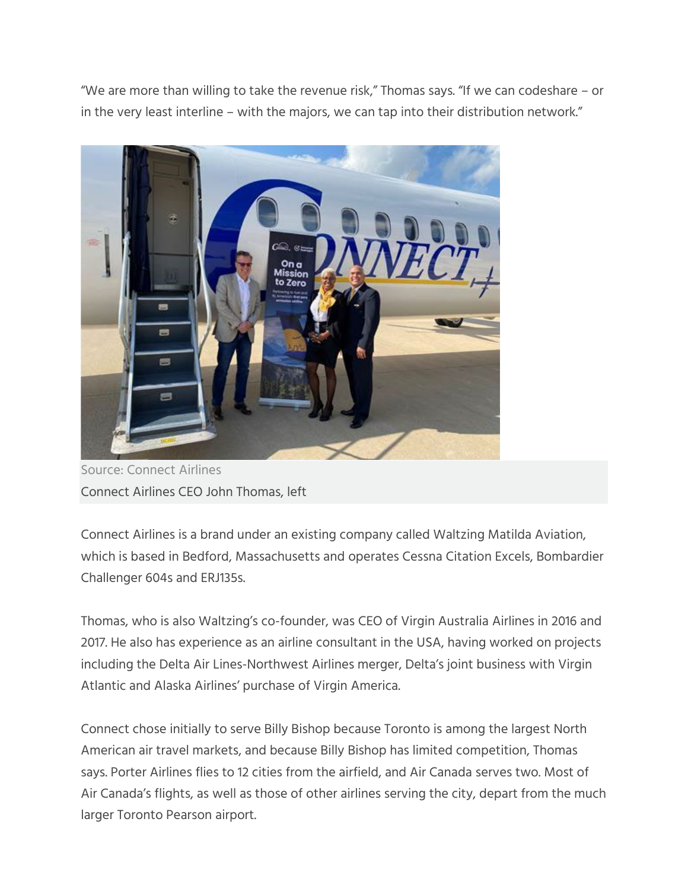"We are more than willing to take the revenue risk," Thomas says. "If we can codeshare – or in the very least interline – with the majors, we can tap into their distribution network."



Source: Connect Airlines Connect Airlines CEO John Thomas, left

Connect Airlines is a brand under an existing company called Waltzing Matilda Aviation, which is based in Bedford, Massachusetts and operates Cessna Citation Excels, Bombardier Challenger 604s and ERJ135s.

Thomas, who is also Waltzing's co-founder, was CEO of Virgin Australia Airlines in 2016 and 2017. He also has experience as an airline consultant in the USA, having worked on projects including the Delta Air Lines-Northwest Airlines merger, Delta's joint business with Virgin Atlantic and Alaska Airlines' purchase of Virgin America.

Connect chose initially to serve Billy Bishop because Toronto is among the largest North American air travel markets, and because Billy Bishop has limited competition, Thomas says. Porter Airlines flies to 12 cities from the airfield, and Air Canada serves two. Most of Air Canada's flights, as well as those of other airlines serving the city, depart from the much larger Toronto Pearson airport.